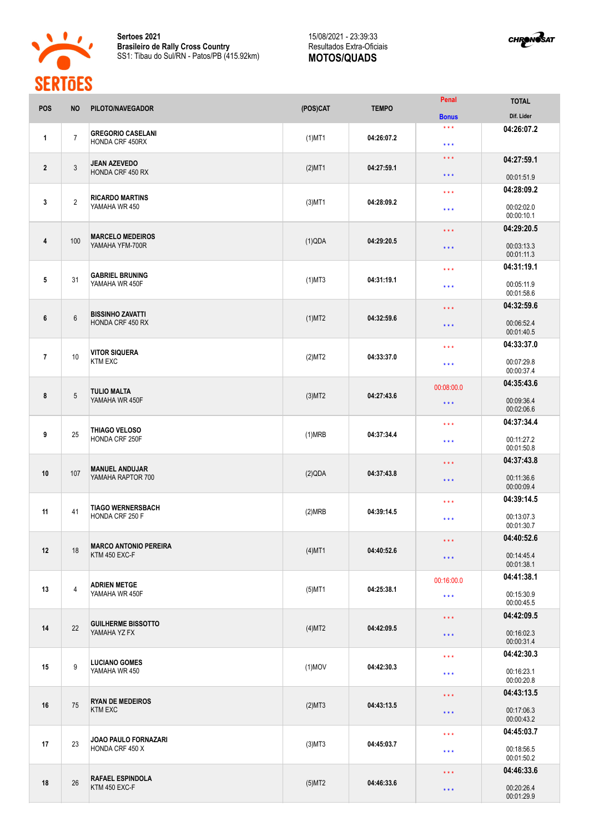

**Sertoes 2021 Brasileiro de Rally Cross Country** SS1: Tibau do Sul/RN - Patos/PB (415.92km)

## 15/08/2021 - 23:39:33 Resultados Extra-Oficiais **MOTOS/QUADS**



| <b>POS</b>     | <b>NO</b>      | PILOTO/NAVEGADOR                                   | (POS)CAT  | <b>TEMPO</b>                    | Penal                                                             | <b>TOTAL</b>             |
|----------------|----------------|----------------------------------------------------|-----------|---------------------------------|-------------------------------------------------------------------|--------------------------|
|                |                |                                                    |           |                                 | <b>Bonus</b><br>$\star\star\star$                                 | Dif. Lider<br>04:26:07.2 |
| 1              | $\overline{7}$ | <b>GREGORIO CASELANI</b><br><b>HONDA CRF 450RX</b> | $(1)$ MT1 | 04:26:07.2                      | $\star\star\star$                                                 |                          |
|                |                | <b>JEAN AZEVEDO</b>                                |           |                                 | $\star$ $\star$ $\star$                                           | 04:27:59.1               |
| $\overline{2}$ | $\mathbf{3}$   | HONDA CRF 450 RX                                   | $(2)$ MT1 | 04:27:59.1                      | $***$                                                             | 00:01:51.9               |
|                |                | <b>RICARDO MARTINS</b><br>YAMAHA WR 450            |           |                                 | $\star\star\star$                                                 | 04:28:09.2               |
| 3              | $\overline{2}$ |                                                    | $(3)$ MT1 | 04:28:09.2                      | $***$                                                             | 00:02:02.0<br>00:00:10.1 |
|                |                | <b>MARCELO MEDEIROS</b><br>YAMAHA YFM-700R         |           |                                 | $***$                                                             | 04:29:20.5               |
| $\overline{4}$ | 100            |                                                    | (1)QDA    | 04:29:20.5                      | $***$                                                             | 00:03:13.3<br>00:01:11.3 |
|                |                |                                                    |           |                                 | $\star \star \star$                                               | 04:31:19.1               |
| 5              | 31             | <b>GABRIEL BRUNING</b><br>YAMAHA WR 450F           | $(1)$ MT3 | 04:31:19.1                      | $\star$ $\star$ $\star$                                           | 00:05:11.9<br>00:01:58.6 |
|                |                |                                                    |           |                                 | $\star \star \star$                                               | 04:32:59.6               |
| 6              | $6\phantom{1}$ | <b>BISSINHO ZAVATTI</b><br>HONDA CRF 450 RX        | $(1)$ MT2 | 04:32:59.6                      | $\star \star \star$                                               | 00:06:52.4<br>00:01:40.5 |
|                |                | <b>VITOR SIQUERA</b><br><b>KTM EXC</b>             |           |                                 | $\star \star \star$                                               | 04:33:37.0               |
| $\overline{7}$ | 10             |                                                    | (2)MT2    | 04:33:37.0                      |                                                                   | 00:07:29.8               |
|                |                |                                                    |           |                                 | $\star$ $\star$ $\star$<br>00:00:37.4<br>04:35:43.6<br>00:08:00.0 |                          |
| 8              | 5              | <b>TULIO MALTA</b><br>YAMAHA WR 450F               | $(3)$ MT2 | 04:27:43.6                      |                                                                   |                          |
|                |                |                                                    |           |                                 | $***$                                                             | 00:09:36.4<br>00:02:06.6 |
|                | 25             | THIAGO VELOSO<br>HONDA CRF 250F                    |           |                                 | $***$                                                             | 04:37:34.4               |
| 9              |                |                                                    | (1)MRB    | 04:37:34.4                      | $\star$ $\star$ $\star$                                           | 00:11:27.2<br>00:01:50.8 |
|                | 107            | <b>MANUEL ANDUJAR</b><br>YAMAHA RAPTOR 700         |           |                                 | $\star \star \star$                                               | 04:37:43.8               |
| 10             |                |                                                    | (2)QDA    | 04:37:43.8                      | $\star \star \star$                                               | 00:11:36.6<br>00:00:09.4 |
|                | 41             | <b>TIAGO WERNERSBACH</b><br>HONDA CRF 250 F        |           |                                 | $***$                                                             | 04:39:14.5               |
| 11             |                |                                                    | (2)MRB    | 04:39:14.5                      | $\star \star \star$                                               | 00:13:07.3               |
|                | 18             | <b>MARCO ANTONIO PEREIRA</b><br>KTM 450 EXC-F      |           | 04:40:52.6                      | $\star$ $\star$ $\star$                                           | 00:01:30.7<br>04:40:52.6 |
| 12             |                |                                                    | $(4)$ MT1 |                                 |                                                                   | 00:14:45.4               |
|                |                |                                                    |           |                                 | $\star$ $\star$ $\star$                                           | 00:01:38.1               |
|                | $\overline{4}$ | <b>ADRIEN METGE</b><br>YAMAHA WR 450F              |           |                                 | 00:16:00.0                                                        | 04:41:38.1               |
| 13             |                |                                                    | $(5)$ MT1 | 04:25:38.1                      | $\star\star\star$                                                 | 00:15:30.9<br>00:00:45.5 |
|                | 22             | <b>GUILHERME BISSOTTO</b><br>YAMAHA YZ FX          |           |                                 | $\star$ $\star$ $\star$                                           | 04:42:09.5               |
| 14             |                |                                                    | $(4)$ MT2 | 04:42:09.5<br>$\star\star\star$ | 00:16:02.3<br>00:00:31.4                                          |                          |
|                |                | <b>LUCIANO GOMES</b><br>YAMAHA WR 450              |           |                                 | $\star$ $\star$ $\star$<br>$\star$ $\star$ $\star$                | 04:42:30.3               |
| 15             | 9              |                                                    | $(1)$ MOV | 04:42:30.3                      |                                                                   | 00:16:23.1<br>00:00:20.8 |
|                | 75             | <b>RYAN DE MEDEIROS</b><br><b>KTM EXC</b>          |           |                                 | $\star$ $\star$ $\star$                                           | 04:43:13.5               |
| 16             |                |                                                    | (2)MT3    | 04:43:13.5                      | $\star\star\star$                                                 | 00:17:06.3<br>00:00:43.2 |
| 17             | 23             | JOAO PAULO FORNAZARI<br>HONDA CRF 450 X            |           | $(3)$ MT3<br>04:45:03.7         | $\star$ $\star$ $\star$                                           | 04:45:03.7               |
|                |                |                                                    |           |                                 | $\star\star\star$                                                 | 00:18:56.5<br>00:01:50.2 |
|                |                |                                                    |           |                                 | $\star\star\star$                                                 | 04:46:33.6               |
| 18             | 26             | <b>RAFAEL ESPINDOLA</b><br>KTM 450 EXC-F           | $(5)$ MT2 | 04:46:33.6                      | $\star\star\star$                                                 | 00:20:26.4<br>00:01:29.9 |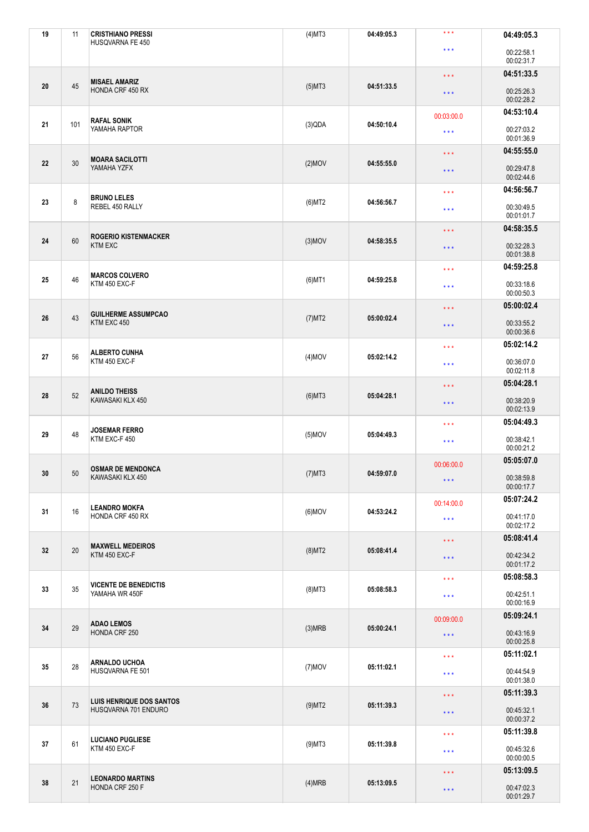| 19 | 11  | <b>CRISTHIANO PRESSI</b><br>HUSQVARNA FE 450     | $(4)$ MT3               | 04:49:05.3                                           | $***$                                                                                                                                                                                                                                                                                                                                                                                                                                                                                                                                                                                                                                                                                                                                                                                                                                                                 | 04:49:05.3               |
|----|-----|--------------------------------------------------|-------------------------|------------------------------------------------------|-----------------------------------------------------------------------------------------------------------------------------------------------------------------------------------------------------------------------------------------------------------------------------------------------------------------------------------------------------------------------------------------------------------------------------------------------------------------------------------------------------------------------------------------------------------------------------------------------------------------------------------------------------------------------------------------------------------------------------------------------------------------------------------------------------------------------------------------------------------------------|--------------------------|
|    |     |                                                  |                         |                                                      | $\star\star\star$                                                                                                                                                                                                                                                                                                                                                                                                                                                                                                                                                                                                                                                                                                                                                                                                                                                     | 00:22:58.1<br>00:02:31.7 |
|    |     | <b>MISAEL AMARIZ</b><br>HONDA CRF 450 RX         |                         |                                                      | $\star$ $\star$ $\star$                                                                                                                                                                                                                                                                                                                                                                                                                                                                                                                                                                                                                                                                                                                                                                                                                                               | 04:51:33.5               |
| 20 | 45  |                                                  | $(5)$ MT3               | 04:51:33.5                                           | $\star$ $\star$ $\star$                                                                                                                                                                                                                                                                                                                                                                                                                                                                                                                                                                                                                                                                                                                                                                                                                                               | 00:25:26.3<br>00:02:28.2 |
|    |     | <b>RAFAL SONIK</b>                               |                         |                                                      | 00:03:00.0                                                                                                                                                                                                                                                                                                                                                                                                                                                                                                                                                                                                                                                                                                                                                                                                                                                            |                          |
| 21 | 101 | YAMAHA RAPTOR                                    | (3)QDA                  | 04:50:10.4                                           | $\star\star\star$                                                                                                                                                                                                                                                                                                                                                                                                                                                                                                                                                                                                                                                                                                                                                                                                                                                     | 00:27:03.2<br>00:01:36.9 |
|    |     | <b>MOARA SACILOTTI</b><br>YAMAHA YZFX            |                         |                                                      | $\star$ $\star$ $\star$                                                                                                                                                                                                                                                                                                                                                                                                                                                                                                                                                                                                                                                                                                                                                                                                                                               |                          |
| 22 | 30  |                                                  | $(2)$ MOV               | 04:55:55.0                                           | $\star\star\star$                                                                                                                                                                                                                                                                                                                                                                                                                                                                                                                                                                                                                                                                                                                                                                                                                                                     | 00:29:47.8<br>00:02:44.6 |
|    |     | <b>BRUNO LELES</b>                               |                         |                                                      | $\star\star\star$                                                                                                                                                                                                                                                                                                                                                                                                                                                                                                                                                                                                                                                                                                                                                                                                                                                     | 04:56:56.7               |
| 23 | 8   | REBEL 450 RALLY                                  | (6)MT2                  | 04:56:56.7                                           | $\star$ $\star$ $\star$                                                                                                                                                                                                                                                                                                                                                                                                                                                                                                                                                                                                                                                                                                                                                                                                                                               | 00:30:49.5<br>00:01:01.7 |
|    |     | <b>ROGERIO KISTENMACKER</b><br><b>KTM EXC</b>    |                         |                                                      | $\star$ $\star$ $\star$                                                                                                                                                                                                                                                                                                                                                                                                                                                                                                                                                                                                                                                                                                                                                                                                                                               |                          |
| 24 | 60  |                                                  | $(3)$ MOV               |                                                      | 04:58:35.5<br>$\star$ $\star$ $\star$                                                                                                                                                                                                                                                                                                                                                                                                                                                                                                                                                                                                                                                                                                                                                                                                                                 |                          |
|    |     | <b>MARCOS COLVERO</b>                            |                         |                                                      | $\star\star\star$                                                                                                                                                                                                                                                                                                                                                                                                                                                                                                                                                                                                                                                                                                                                                                                                                                                     | 04:59:25.8               |
| 25 | 46  | KTM 450 EXC-F                                    | $(6)$ MT1               | 04:59:25.8                                           | $\star$ $\star$ $\star$                                                                                                                                                                                                                                                                                                                                                                                                                                                                                                                                                                                                                                                                                                                                                                                                                                               | 00:33:18.6<br>00:00:50.3 |
|    | 43  | <b>GUILHERME ASSUMPCAO</b><br>KTM EXC 450        |                         |                                                      | $\star$ $\star$ $\star$                                                                                                                                                                                                                                                                                                                                                                                                                                                                                                                                                                                                                                                                                                                                                                                                                                               | 05:00:02.4               |
| 26 |     |                                                  | $(7)$ MT2               | 05:00:02.4                                           | 04:53:10.4<br>04:55:55.0<br>04:58:35.5<br>00:32:28.3<br>00:01:38.8<br>00:33:55.2<br>$\star$ $\star$ $\star$<br>00:00:36.6<br>05:02:14.2<br>$\star$ $\star$ $\star$<br>00:36:07.0<br>$\star$ $\star$ $\star$<br>00:02:11.8<br>05:04:28.1<br>$\star\star\star$<br>00:38:20.9<br>$\star$ $\star$ $\star$<br>00:02:13.9<br>05:04:49.3<br>$***$<br>00:38:42.1<br>$\star$ $\star$ $\star$<br>00:00:21.2<br>05:05:07.0<br>00:06:00.0<br>00:38:59.8<br>$\star\star\star$<br>00:00:17.7<br>05:07:24.2<br>00:14:00.0<br>00:41:17.0<br>$\star\star\star$<br>00:02:17.2<br>05:08:41.4<br>$\star\star\star$<br>00:42:34.2<br>$\star$ $\star$ $\star$<br>00:01:17.2<br>05:08:58.3<br>$\star\star\star$<br>00:42:51.1<br>$\star\star\star$<br>00:00:16.9<br>05:09:24.1<br>00:09:00.0<br>00:43:16.9<br>$\star$ $\star$ $\star$<br>00:00:25.8<br>05:11:02.1<br>$\star$ $\star$ $\star$ |                          |
|    |     | <b>ALBERTO CUNHA</b><br>KTM 450 EXC-F            |                         |                                                      |                                                                                                                                                                                                                                                                                                                                                                                                                                                                                                                                                                                                                                                                                                                                                                                                                                                                       |                          |
| 27 | 56  |                                                  | $(4)$ MOV               | 05:02:14.2                                           |                                                                                                                                                                                                                                                                                                                                                                                                                                                                                                                                                                                                                                                                                                                                                                                                                                                                       |                          |
|    | 52  | <b>ANILDO THEISS</b><br>KAWASAKI KLX 450         |                         |                                                      |                                                                                                                                                                                                                                                                                                                                                                                                                                                                                                                                                                                                                                                                                                                                                                                                                                                                       |                          |
| 28 |     |                                                  | $(6)$ MT3               | 05:04:28.1                                           |                                                                                                                                                                                                                                                                                                                                                                                                                                                                                                                                                                                                                                                                                                                                                                                                                                                                       |                          |
|    | 48  | <b>JOSEMAR FERRO</b><br>KTM EXC-F 450            |                         |                                                      |                                                                                                                                                                                                                                                                                                                                                                                                                                                                                                                                                                                                                                                                                                                                                                                                                                                                       |                          |
| 29 |     |                                                  | $(5)$ MOV               | 05:04:49.3                                           |                                                                                                                                                                                                                                                                                                                                                                                                                                                                                                                                                                                                                                                                                                                                                                                                                                                                       |                          |
|    |     | <b>OSMAR DE MENDONCA</b>                         |                         |                                                      |                                                                                                                                                                                                                                                                                                                                                                                                                                                                                                                                                                                                                                                                                                                                                                                                                                                                       |                          |
| 30 | 50  | KAWASAKI KLX 450                                 | $(7)$ MT3               | 04:59:07.0                                           |                                                                                                                                                                                                                                                                                                                                                                                                                                                                                                                                                                                                                                                                                                                                                                                                                                                                       |                          |
|    | 16  | <b>LEANDRO MOKFA</b><br>HONDA CRF 450 RX         |                         | 04:53:24.2                                           |                                                                                                                                                                                                                                                                                                                                                                                                                                                                                                                                                                                                                                                                                                                                                                                                                                                                       |                          |
| 31 |     |                                                  | $(6)$ MOV               |                                                      |                                                                                                                                                                                                                                                                                                                                                                                                                                                                                                                                                                                                                                                                                                                                                                                                                                                                       |                          |
|    | 20  | <b>MAXWELL MEDEIROS</b><br>KTM 450 EXC-F         | $(8)$ MT2               |                                                      |                                                                                                                                                                                                                                                                                                                                                                                                                                                                                                                                                                                                                                                                                                                                                                                                                                                                       |                          |
| 32 |     |                                                  |                         | 05:08:41.4                                           |                                                                                                                                                                                                                                                                                                                                                                                                                                                                                                                                                                                                                                                                                                                                                                                                                                                                       |                          |
|    |     |                                                  |                         |                                                      |                                                                                                                                                                                                                                                                                                                                                                                                                                                                                                                                                                                                                                                                                                                                                                                                                                                                       |                          |
| 33 | 35  | <b>VICENTE DE BENEDICTIS</b><br>YAMAHA WR 450F   | $(8)$ MT3               | 05:08:58.3                                           |                                                                                                                                                                                                                                                                                                                                                                                                                                                                                                                                                                                                                                                                                                                                                                                                                                                                       |                          |
|    |     |                                                  |                         |                                                      |                                                                                                                                                                                                                                                                                                                                                                                                                                                                                                                                                                                                                                                                                                                                                                                                                                                                       |                          |
|    | 29  | <b>ADAO LEMOS</b><br>HONDA CRF 250               |                         |                                                      |                                                                                                                                                                                                                                                                                                                                                                                                                                                                                                                                                                                                                                                                                                                                                                                                                                                                       |                          |
| 34 |     |                                                  | (3)MRB                  | 05:00:24.1                                           |                                                                                                                                                                                                                                                                                                                                                                                                                                                                                                                                                                                                                                                                                                                                                                                                                                                                       |                          |
|    | 28  | <b>ARNALDO UCHOA</b><br>HUSQVARNA FE 501         |                         |                                                      |                                                                                                                                                                                                                                                                                                                                                                                                                                                                                                                                                                                                                                                                                                                                                                                                                                                                       |                          |
| 35 |     |                                                  | $(7)$ MOV               | 05:11:02.1<br>$\star\star\star$                      |                                                                                                                                                                                                                                                                                                                                                                                                                                                                                                                                                                                                                                                                                                                                                                                                                                                                       | 00:44:54.9<br>00:01:38.0 |
|    | 73  | LUIS HENRIQUE DOS SANTOS<br>HUSQVARNA 701 ENDURO |                         |                                                      | $\star$ $\star$ $\star$                                                                                                                                                                                                                                                                                                                                                                                                                                                                                                                                                                                                                                                                                                                                                                                                                                               | 05:11:39.3               |
| 36 |     |                                                  | $(9)$ MT2<br>05:11:39.3 |                                                      | $\star$ $\star$ $\star$                                                                                                                                                                                                                                                                                                                                                                                                                                                                                                                                                                                                                                                                                                                                                                                                                                               | 00:45:32.1<br>00:00:37.2 |
|    | 61  | <b>LUCIANO PUGLIESE</b><br>KTM 450 EXC-F         |                         |                                                      | $\star\star\star$                                                                                                                                                                                                                                                                                                                                                                                                                                                                                                                                                                                                                                                                                                                                                                                                                                                     | 05:11:39.8               |
| 37 |     |                                                  | $(9)$ MT3               | 05:11:39.8                                           | $\star\star\star$                                                                                                                                                                                                                                                                                                                                                                                                                                                                                                                                                                                                                                                                                                                                                                                                                                                     | 00:45:32.6<br>00:00:00.5 |
|    | 21  | <b>LEONARDO MARTINS</b><br>HONDA CRF 250 F       |                         | $\star\star\star$<br>05:13:09.5<br>$\star\star\star$ |                                                                                                                                                                                                                                                                                                                                                                                                                                                                                                                                                                                                                                                                                                                                                                                                                                                                       | 05:13:09.5               |
| 38 |     |                                                  | (4)MRB                  |                                                      | 00:47:02.3<br>00:01:29.7                                                                                                                                                                                                                                                                                                                                                                                                                                                                                                                                                                                                                                                                                                                                                                                                                                              |                          |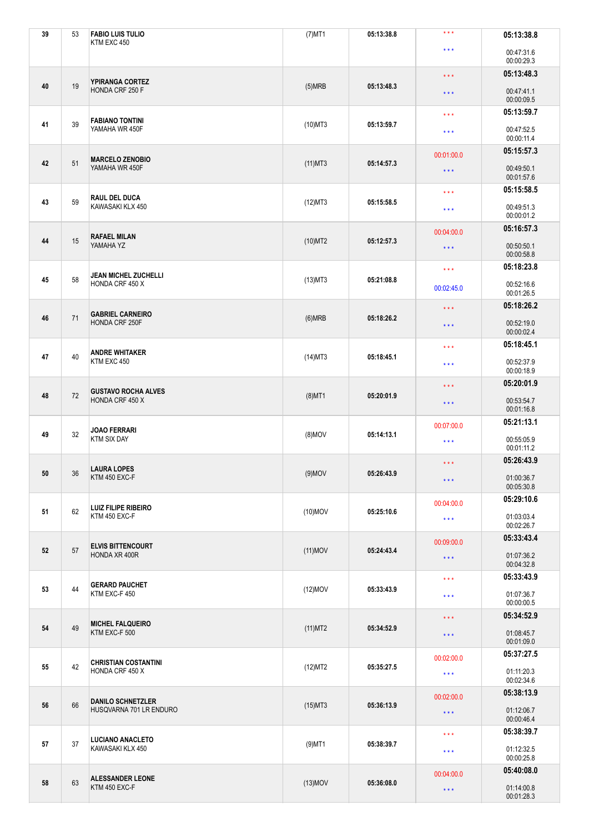| 39 | 53 | <b>FABIO LUIS TULIO</b><br>KTM EXC 450              | $(7)$ MT1  | 05:13:38.8 | $***$                                                                                          | 05:13:38.8               |
|----|----|-----------------------------------------------------|------------|------------|------------------------------------------------------------------------------------------------|--------------------------|
|    |    |                                                     |            |            | $\star\star\star$                                                                              | 00:47:31.6               |
|    |    |                                                     |            |            | $\star \star \star$                                                                            | 00:00:29.3<br>05:13:48.3 |
| 40 | 19 | YPIRANGA CORTEZ<br>HONDA CRF 250 F                  | (5)MRB     | 05:13:48.3 | $\star$ $\star$ $\star$                                                                        | 00:47:41.1<br>00:00:09.5 |
|    |    | <b>FABIANO TONTINI</b><br>YAMAHA WR 450F            |            |            | $\star\star\star$                                                                              | 05:13:59.7               |
| 41 | 39 |                                                     | $(10)$ MT3 | 05:13:59.7 | $\star\star\star$                                                                              | 00:47:52.5<br>00:00:11.4 |
|    |    | <b>MARCELO ZENOBIO</b><br>YAMAHA WR 450F            |            |            | 00:01:00.0                                                                                     | 05:15:57.3               |
| 42 | 51 |                                                     | $(11)$ MT3 | 05:14:57.3 | $\star$ $\star$ $\star$                                                                        | 00:49:50.1<br>00:01:57.6 |
|    | 59 | <b>RAUL DEL DUCA</b>                                |            |            | $\star\star\star$                                                                              | 05:15:58.5               |
| 43 |    | KAWASAKI KLX 450                                    | (12)MT3    | 05:15:58.5 | $\star\star\star$                                                                              | 00:49:51.3<br>00:00:01.2 |
| 44 | 15 | <b>RAFAEL MILAN</b><br>YAMAHA YZ                    | $(10)$ MT2 | 05:12:57.3 | 00:04:00.0                                                                                     | 05:16:57.3               |
|    |    |                                                     |            |            | $***$                                                                                          | 00:50:50.1<br>00:00:58.8 |
|    |    | <b>JEAN MICHEL ZUCHELLI</b>                         |            |            | $\star\star\star$                                                                              | 05:18:23.8               |
| 45 | 58 | HONDA CRF 450 X                                     | $(13)$ MT3 | 05:21:08.8 | 00:02:45.0                                                                                     | 00:52:16.6<br>00:01:26.5 |
|    |    | <b>GABRIEL CARNEIRO</b><br>HONDA CRF 250F           |            |            | $\star\star\star$                                                                              | 05:18:26.2               |
| 46 | 71 |                                                     | (6)MRB     | 05:18:26.2 | $\star$ $\star$ $\star$                                                                        | 00:52:19.0<br>00:00:02.4 |
|    |    | <b>ANDRE WHITAKER</b><br>KTM EXC 450                |            |            | $\star\star\star$                                                                              | 05:18:45.1               |
| 47 | 40 |                                                     | $(14)$ MT3 | 05:18:45.1 | $\star$ $\star$ $\star$<br>$\star\star\star$<br>$***$<br>00:07:00.0<br>$\star$ $\star$ $\star$ | 00:52:37.9<br>00:00:18.9 |
|    | 72 | <b>GUSTAVO ROCHA ALVES</b><br>HONDA CRF 450 X       |            |            |                                                                                                | 05:20:01.9               |
| 48 |    |                                                     | $(8)$ MT1  | 05:20:01.9 |                                                                                                | 00:53:54.7<br>00:01:16.8 |
|    | 32 | <b>JOAO FERRARI</b><br><b>KTM SIX DAY</b>           |            |            |                                                                                                | 05:21:13.1               |
| 49 |    |                                                     | $(8)$ MOV  | 05:14:13.1 |                                                                                                | 00:55:05.9<br>00:01:11.2 |
|    |    | <b>LAURA LOPES</b>                                  |            |            | 05:26:43.9<br>$\star$ $\star$ $\star$                                                          |                          |
| 50 | 36 | KTM 450 EXC-F                                       | $(9)$ MOV  | 05:26:43.9 | $\star$ $\star$ $\star$                                                                        | 01:00:36.7<br>00:05:30.8 |
| 51 | 62 | <b>LUIZ FILIPE RIBEIRO</b>                          | $(10)$ MOV | 05:25:10.6 | 00:04:00.0                                                                                     | 05:29:10.6               |
|    |    | KTM 450 EXC-F                                       |            |            | $\star$ $\star$ $\star$                                                                        | 01:03:03.4<br>00:02:26.7 |
|    |    | <b>ELVIS BITTENCOURT</b>                            |            |            | 00:09:00.0                                                                                     | 05:33:43.4               |
| 52 | 57 | HONDA XR 400R                                       | $(11)$ MOV | 05:24:43.4 | $\star$ $\star$ $\star$                                                                        | 01:07:36.2<br>00:04:32.8 |
|    | 44 | <b>GERARD PAUCHET</b><br>KTM EXC-F 450              |            |            | $\star \star \star$<br>$\star$ $\star$ $\star$                                                 | 05:33:43.9               |
| 53 |    |                                                     | $(12)$ MOV | 05:33:43.9 |                                                                                                | 01:07:36.7<br>00:00:00.5 |
|    | 49 | <b>MICHEL FALQUEIRO</b><br>KTM EXC-F 500            |            |            | $\star$ $\star$ $\star$                                                                        | 05:34:52.9               |
| 54 |    |                                                     | $(11)$ MT2 | 05:34:52.9 | $***$                                                                                          | 01:08:45.7<br>00:01:09.0 |
|    | 42 | <b>CHRISTIAN COSTANTINI</b><br>HONDA CRF 450 X      |            |            | 00:02:00.0                                                                                     | 05:37:27.5               |
| 55 |    |                                                     | (12)MT2    | 05:35:27.5 | $\star \star \star$                                                                            | 01:11:20.3<br>00:02:34.6 |
|    |    | <b>DANILO SCHNETZLER</b><br>HUSQVARNA 701 LR ENDURO |            |            | 00:02:00.0                                                                                     | 05:38:13.9               |
| 56 | 66 |                                                     | $(15)$ MT3 | 05:36:13.9 | $\star$ $\star$ $\star$                                                                        | 01:12:06.7<br>00:00:46.4 |
|    | 37 | <b>LUCIANO ANACLETO</b><br>KAWASAKI KLX 450         |            |            | $\star\star\star$                                                                              | 05:38:39.7               |
| 57 |    |                                                     | $(9)$ MT1  | 05:38:39.7 | $\star \star \star$                                                                            | 01:12:32.5<br>00:00:25.8 |
|    | 63 | <b>ALESSANDER LEONE</b><br>KTM 450 EXC-F            |            |            | 00:04:00.0                                                                                     | 05:40:08.0               |
| 58 |    |                                                     | $(13)$ MOV | 05:36:08.0 | $\star$ $\star$ $\star$                                                                        | 01:14:00.8<br>00:01:28.3 |